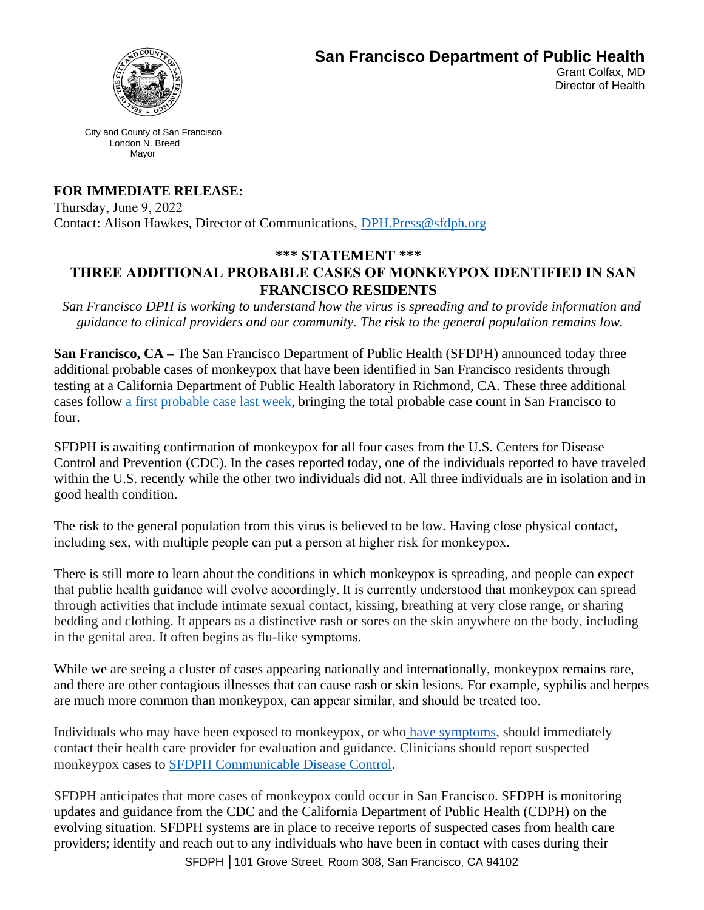

**San Francisco Department of Public Health** 

Grant Colfax, MD Director of Health

City and County of San Francisco London N. Breed Mayor

# **FOR IMMEDIATE RELEASE:**

Thursday, June 9, 2022  Contact: Alison Hawkes, Director of Communications, [DPH.Press@sfdph.org](mailto:DPH.Press@sfdph.org)

# **\*\*\* STATEMENT \*\*\*  THREE ADDITIONAL PROBABLE CASES OF MONKEYPOX IDENTIFIED IN SAN FRANCISCO RESIDENTS**

*San Francisco DPH is working to understand how the virus is spreading and to provide information and guidance to clinical providers and our community. The risk to the general population remains low.*

**San Francisco, CA –** The San Francisco Department of Public Health (SFDPH) announced today three additional probable cases of monkeypox that have been identified in San Francisco residents through testing at a California Department of Public Health laboratory in Richmond, CA. These three additional cases follow [a first probable case last week,](https://sf.gov/news/first-probable-case-monkeypox-identified-sf-resident) bringing the total probable case count in San Francisco to four.

SFDPH is awaiting confirmation of monkeypox for all four cases from the U.S. Centers for Disease Control and Prevention (CDC). In the cases reported today, one of the individuals reported to have traveled within the U.S. recently while the other two individuals did not. All three individuals are in isolation and in good health condition.

The risk to the general population from this virus is believed to be low. Having close physical contact, including sex, with multiple people can put a person at higher risk for monkeypox. 

There is still more to learn about the conditions in which monkeypox is spreading, and people can expect that public health guidance will evolve accordingly. It is currently understood that monkeypox can spread through activities that include intimate sexual contact, kissing, breathing at very close range, or sharing bedding and clothing. It appears as a distinctive rash or sores on the skin anywhere on the body, including in the genital area. It often begins as flu-like symptoms. 

While we are seeing a cluster of cases appearing nationally and internationally, monkeypox remains rare, and there are other contagious illnesses that can cause rash or skin lesions. For example, syphilis and herpes are much more common than monkeypox, can appear similar, and should be treated too.  

Individuals who may have been exposed to monkeypox, or who [have symptoms,](https://www.cdc.gov/poxvirus/monkeypox/clinicians/clinical-recognition.html) should immediately contact their health care provider for evaluation and guidance. Clinicians should report suspected monkeypox cases to [SFDPH Communicable Disease Control.](https://www.sfcdcp.org/immunizations/immunization-information-for-medical-providers/monkeypox-guidance-for-sf-providers/)

SFDPH anticipates that more cases of monkeypox could occur in San Francisco. SFDPH is monitoring updates and guidance from the CDC and the California Department of Public Health (CDPH) on the evolving situation. SFDPH systems are in place to receive reports of suspected cases from health care providers; identify and reach out to any individuals who have been in contact with cases during their

SFDPH │101 Grove Street, Room 308, San Francisco, CA 94102